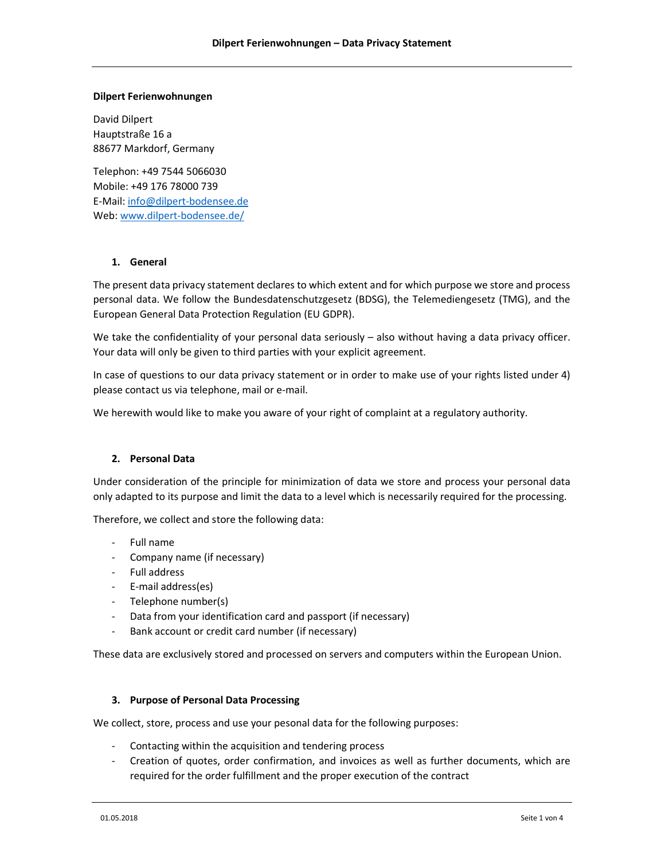### Dilpert Ferienwohnungen

David Dilpert Hauptstraße 16 a 88677 Markdorf, Germany

Telephon: +49 7544 5066030 Mobile: +49 176 78000 739 E-Mail: info@dilpert-bodensee.de Web: www.dilpert-bodensee.de/

# 1. General

The present data privacy statement declares to which extent and for which purpose we store and process personal data. We follow the Bundesdatenschutzgesetz (BDSG), the Telemediengesetz (TMG), and the European General Data Protection Regulation (EU GDPR).

We take the confidentiality of your personal data seriously – also without having a data privacy officer. Your data will only be given to third parties with your explicit agreement.

In case of questions to our data privacy statement or in order to make use of your rights listed under 4) please contact us via telephone, mail or e-mail.

We herewith would like to make you aware of your right of complaint at a regulatory authority.

# 2. Personal Data

Under consideration of the principle for minimization of data we store and process your personal data only adapted to its purpose and limit the data to a level which is necessarily required for the processing.

Therefore, we collect and store the following data:

- Full name
- Company name (if necessary)
- Full address
- E-mail address(es)
- Telephone number(s)
- Data from your identification card and passport (if necessary)
- Bank account or credit card number (if necessary)

These data are exclusively stored and processed on servers and computers within the European Union.

# 3. Purpose of Personal Data Processing

We collect, store, process and use your pesonal data for the following purposes:

- Contacting within the acquisition and tendering process
- Creation of quotes, order confirmation, and invoices as well as further documents, which are required for the order fulfillment and the proper execution of the contract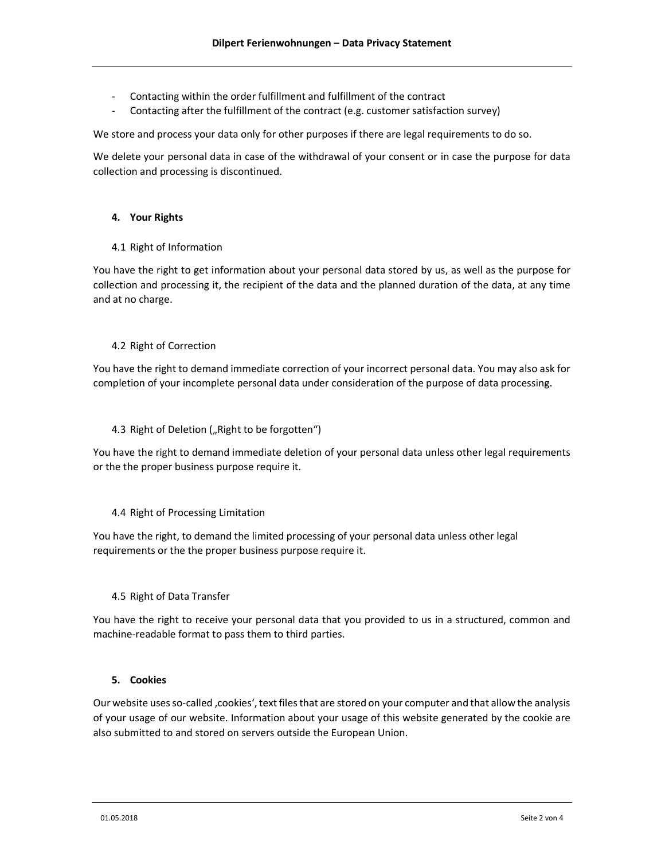- Contacting within the order fulfillment and fulfillment of the contract
- Contacting after the fulfillment of the contract (e.g. customer satisfaction survey)

We store and process your data only for other purposes if there are legal requirements to do so.

We delete your personal data in case of the withdrawal of your consent or in case the purpose for data collection and processing is discontinued.

### 4. Your Rights

4.1 Right of Information

You have the right to get information about your personal data stored by us, as well as the purpose for collection and processing it, the recipient of the data and the planned duration of the data, at any time and at no charge.

### 4.2 Right of Correction

You have the right to demand immediate correction of your incorrect personal data. You may also ask for completion of your incomplete personal data under consideration of the purpose of data processing.

#### 4.3 Right of Deletion ("Right to be forgotten")

You have the right to demand immediate deletion of your personal data unless other legal requirements or the the proper business purpose require it.

#### 4.4 Right of Processing Limitation

You have the right, to demand the limited processing of your personal data unless other legal requirements or the the proper business purpose require it.

# 4.5 Right of Data Transfer

You have the right to receive your personal data that you provided to us in a structured, common and machine-readable format to pass them to third parties.

### 5. Cookies

Our website uses so-called 'cookies', text files that are stored on your computer and that allow the analysis of your usage of our website. Information about your usage of this website generated by the cookie are also submitted to and stored on servers outside the European Union.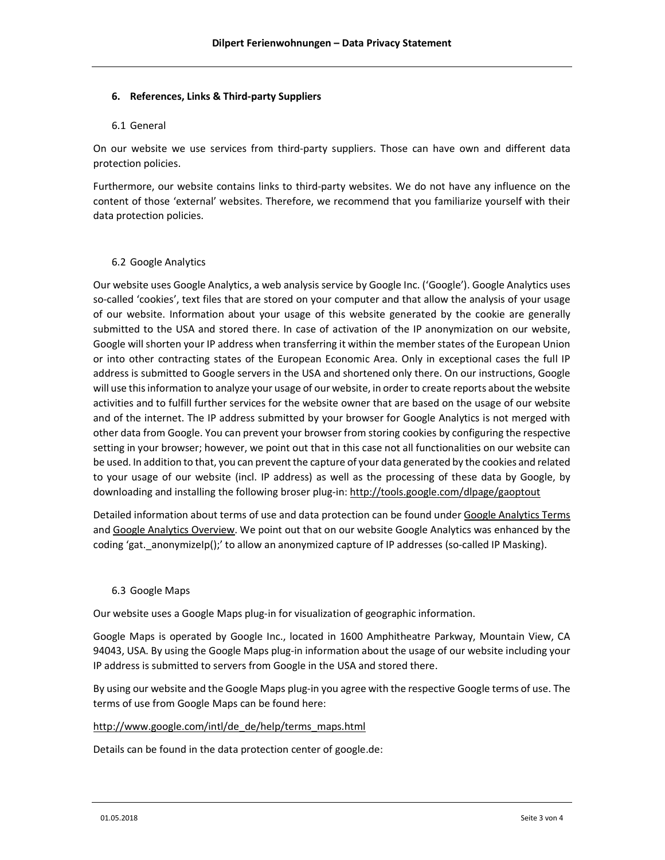### 6. References, Links & Third-party Suppliers

### 6.1 General

On our website we use services from third-party suppliers. Those can have own and different data protection policies.

Furthermore, our website contains links to third-party websites. We do not have any influence on the content of those 'external' websites. Therefore, we recommend that you familiarize yourself with their data protection policies.

# 6.2 Google Analytics

Our website uses Google Analytics, a web analysis service by Google Inc. ('Google'). Google Analytics uses so-called 'cookies', text files that are stored on your computer and that allow the analysis of your usage of our website. Information about your usage of this website generated by the cookie are generally submitted to the USA and stored there. In case of activation of the IP anonymization on our website, Google will shorten your IP address when transferring it within the member states of the European Union or into other contracting states of the European Economic Area. Only in exceptional cases the full IP address is submitted to Google servers in the USA and shortened only there. On our instructions, Google will use this information to analyze your usage of our website, in order to create reports about the website activities and to fulfill further services for the website owner that are based on the usage of our website and of the internet. The IP address submitted by your browser for Google Analytics is not merged with other data from Google. You can prevent your browser from storing cookies by configuring the respective setting in your browser; however, we point out that in this case not all functionalities on our website can be used. In addition to that, you can prevent the capture of your data generated by the cookies and related to your usage of our website (incl. IP address) as well as the processing of these data by Google, by downloading and installing the following broser plug-in: http://tools.google.com/dlpage/gaoptout

Detailed information about terms of use and data protection can be found under Google Analytics Terms and Google Analytics Overview. We point out that on our website Google Analytics was enhanced by the coding 'gat. anonymizeIp();' to allow an anonymized capture of IP addresses (so-called IP Masking).

# 6.3 Google Maps

Our website uses a Google Maps plug-in for visualization of geographic information.

Google Maps is operated by Google Inc., located in 1600 Amphitheatre Parkway, Mountain View, CA 94043, USA. By using the Google Maps plug-in information about the usage of our website including your IP address is submitted to servers from Google in the USA and stored there.

By using our website and the Google Maps plug-in you agree with the respective Google terms of use. The terms of use from Google Maps can be found here:

# http://www.google.com/intl/de\_de/help/terms\_maps.html

Details can be found in the data protection center of google.de: